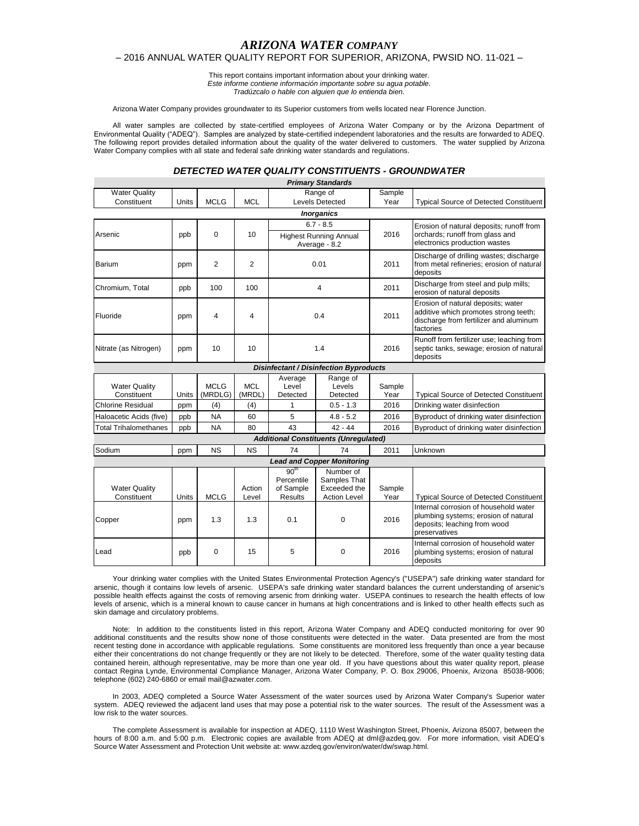# *ARIZONA WATER COMPANY*

## – 2016 ANNUAL WATER QUALITY REPORT FOR SUPERIOR, ARIZONA, PWSID NO. 11-021 –

This report contains important information about your drinking water. *Este informe contiene información importante sobre su agua potable. Tradúzcalo o hable con alguien que lo entienda bien.*

Arizona Water Company provides groundwater to its Superior customers from wells located near Florence Junction.

All water samples are collected by state-certified employees of Arizona Water Company or by the Arizona Department of Environmental Quality ("ADEQ"). Samples are analyzed by state-certified independent laboratories and the results are forwarded to ADEQ. The following report provides detailed information about the quality of the water delivered to customers. The water supplied by Arizona Water Company complies with all state and federal safe drinking water standards and regulations.

### *DETECTED WATER QUALITY CONSTITUENTS - GROUNDWATER*

|                                     |       |                        |                      |                                                               | <b>Primary Standards</b>                                         |                |                                                                                                                                    |
|-------------------------------------|-------|------------------------|----------------------|---------------------------------------------------------------|------------------------------------------------------------------|----------------|------------------------------------------------------------------------------------------------------------------------------------|
| <b>Water Quality</b>                |       |                        |                      | Range of                                                      |                                                                  | Sample         |                                                                                                                                    |
| Constituent                         | Units | <b>MCLG</b>            | <b>MCL</b>           |                                                               | Levels Detected                                                  | Year           | <b>Typical Source of Detected Constituent</b>                                                                                      |
|                                     |       |                        |                      |                                                               | <b>Inorganics</b>                                                |                |                                                                                                                                    |
|                                     | ppb   | 0                      | 10                   | $6.7 - 8.5$<br><b>Highest Running Annual</b>                  |                                                                  | 2016           | Erosion of natural deposits; runoff from                                                                                           |
| Arsenic                             |       |                        |                      |                                                               |                                                                  |                | orchards; runoff from glass and                                                                                                    |
|                                     |       |                        |                      | Average - 8.2                                                 |                                                                  |                | electronics production wastes                                                                                                      |
| Barium                              | ppm   | 2                      | 2                    | 0.01                                                          |                                                                  | 2011           | Discharge of drilling wastes; discharge<br>from metal refineries; erosion of natural<br>deposits                                   |
| Chromium, Total                     | ppb   | 100                    | 100                  | $\overline{4}$                                                |                                                                  | 2011           | Discharge from steel and pulp mills;<br>erosion of natural deposits                                                                |
| Fluoride                            | ppm   | 4                      | 4                    | 0.4                                                           |                                                                  | 2011           | Erosion of natural deposits; water<br>additive which promotes strong teeth;<br>discharge from fertilizer and aluminum<br>factories |
| Nitrate (as Nitrogen)               | ppm   | 10                     | 10                   | 1.4                                                           |                                                                  | 2016           | Runoff from fertilizer use; leaching from<br>septic tanks, sewage; erosion of natural<br>deposits                                  |
|                                     |       |                        |                      |                                                               | <b>Disinfectant / Disinfection Byproducts</b>                    |                |                                                                                                                                    |
| <b>Water Quality</b><br>Constituent | Units | <b>MCLG</b><br>(MRDLG) | <b>MCL</b><br>(MRDL) | Average<br>Level<br>Detected                                  | Range of<br>Levels<br>Detected                                   | Sample<br>Year | <b>Typical Source of Detected Constituent</b>                                                                                      |
| <b>Chlorine Residual</b>            | ppm   | (4)                    | (4)                  | 1                                                             | $0.5 - 1.3$                                                      | 2016           | Drinking water disinfection                                                                                                        |
| Haloacetic Acids (five)             | ppb   | <b>NA</b>              | 60                   | 5                                                             | $4.8 - 5.2$                                                      | 2016           | Byproduct of drinking water disinfection                                                                                           |
| <b>Total Trihalomethanes</b>        | ppb   | <b>NA</b>              | 80                   | 43                                                            | $42 - 44$                                                        | 2016           | Byproduct of drinking water disinfection                                                                                           |
|                                     |       |                        |                      |                                                               | <b>Additional Constituents (Unregulated)</b>                     |                |                                                                                                                                    |
| Sodium                              | ppm   | <b>NS</b>              | <b>NS</b>            | 74                                                            | 74                                                               | 2011           | Unknown                                                                                                                            |
|                                     |       |                        |                      |                                                               | <b>Lead and Copper Monitoring</b>                                |                |                                                                                                                                    |
| <b>Water Quality</b><br>Constituent | Units | <b>MCLG</b>            | Action<br>Level      | 90 <sup>th</sup><br>Percentile<br>of Sample<br><b>Results</b> | Number of<br>Samples That<br>Exceeded the<br><b>Action Level</b> | Sample<br>Year | <b>Typical Source of Detected Constituent</b>                                                                                      |
| Copper                              | ppm   | 1.3                    | 1.3                  | 0.1                                                           | 0                                                                | 2016           | Internal corrosion of household water<br>plumbing systems; erosion of natural<br>deposits; leaching from wood<br>preservatives     |
| Lead                                | ppb   | 0                      | 15                   | 5                                                             | 0                                                                | 2016           | Internal corrosion of household water<br>plumbing systems; erosion of natural<br>deposits                                          |

Your drinking water complies with the United States Environmental Protection Agency's ("USEPA") safe drinking water standard for arsenic, though it contains low levels of arsenic. USEPA's safe drinking water standard balances the current understanding of arsenic's possible health effects against the costs of removing arsenic from drinking water. USEPA continues to research the health effects of low levels of arsenic, which is a mineral known to cause cancer in humans at high concentrations and is linked to other health effects such as skin damage and circulatory problems.

Note: In addition to the constituents listed in this report, Arizona Water Company and ADEQ conducted monitoring for over 90 additional constituents and the results show none of those constituents were detected in the water. Data presented are from the most recent testing done in accordance with applicable regulations. Some constituents are monitored less frequently than once a year because either their concentrations do not change frequently or they are not likely to be detected. Therefore, some of the water quality testing data contained herein, although representative, may be more than one year old. If you have questions about this water quality report, please contact Regina Lynde, Environmental Compliance Manager, Arizona Water Company, P. O. Box 29006, Phoenix, Arizona 85038-9006; telephone (602) 240-6860 or email mail@azwater.com.

In 2003, ADEQ completed a Source Water Assessment of the water sources used by Arizona Water Company's Superior water system. ADEQ reviewed the adjacent land uses that may pose a potential risk to the water sources. The result of the Assessment was a low risk to the water sources.

The complete Assessment is available for inspection at ADEQ, 1110 West Washington Street, Phoenix, Arizona 85007, between the hours of 8:00 a.m. and 5:00 p.m. Electronic copies are available from ADEQ at dml@azdeq.gov. For more information, visit ADEQ's Source Water Assessment and Protection Unit website at: www.azdeq.gov/environ/water/dw/swap.html.